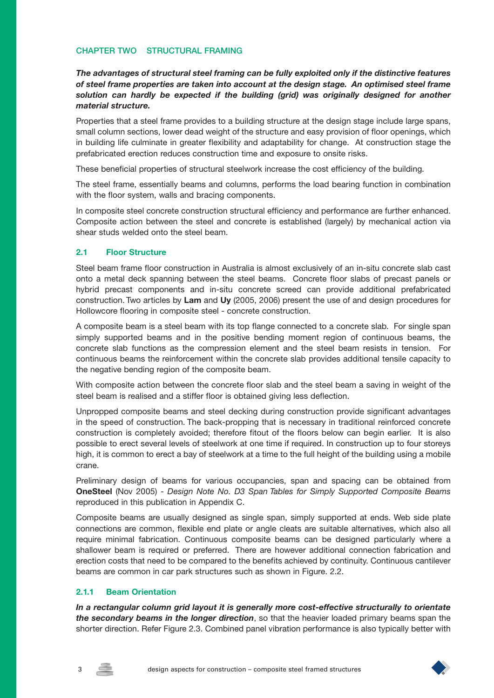## **CHAPTER TWO STRUCTURAL FRAMING**

*The advantages of structural steel framing can be fully exploited only if the distinctive features of steel frame properties are taken into account at the design stage. An optimised steel frame solution can hardly be expected if the building (grid) was originally designed for another material structure.*

Properties that a steel frame provides to a building structure at the design stage include large spans, small column sections, lower dead weight of the structure and easy provision of floor openings, which in building life culminate in greater flexibility and adaptability for change. At construction stage the prefabricated erection reduces construction time and exposure to onsite risks.

These beneficial properties of structural steelwork increase the cost efficiency of the building.

The steel frame, essentially beams and columns, performs the load bearing function in combination with the floor system, walls and bracing components.

In composite steel concrete construction structural efficiency and performance are further enhanced. Composite action between the steel and concrete is established (largely) by mechanical action via shear studs welded onto the steel beam.

## **2.1 Floor Structure**

Steel beam frame floor construction in Australia is almost exclusively of an in-situ concrete slab cast onto a metal deck spanning between the steel beams. Concrete floor slabs of precast panels or hybrid precast components and in-situ concrete screed can provide additional prefabricated construction. Two articles by **Lam** and **Uy** (2005, 2006) present the use of and design procedures for Hollowcore flooring in composite steel - concrete construction.

A composite beam is a steel beam with its top flange connected to a concrete slab. For single span simply supported beams and in the positive bending moment region of continuous beams, the concrete slab functions as the compression element and the steel beam resists in tension. For continuous beams the reinforcement within the concrete slab provides additional tensile capacity to the negative bending region of the composite beam.

With composite action between the concrete floor slab and the steel beam a saving in weight of the steel beam is realised and a stiffer floor is obtained giving less deflection.

Unpropped composite beams and steel decking during construction provide significant advantages in the speed of construction. The back-propping that is necessary in traditional reinforced concrete construction is completely avoided; therefore fitout of the floors below can begin earlier. It is also possible to erect several levels of steelwork at one time if required. In construction up to four storeys high, it is common to erect a bay of steelwork at a time to the full height of the building using a mobile crane.

Preliminary design of beams for various occupancies, span and spacing can be obtained from **OneSteel** (Nov 2005) - *Design Note No. D3 Span Tables for Simply Supported Composite Beams* reproduced in this publication in Appendix C.

Composite beams are usually designed as single span, simply supported at ends. Web side plate connections are common, flexible end plate or angle cleats are suitable alternatives, which also all require minimal fabrication. Continuous composite beams can be designed particularly where a shallower beam is required or preferred. There are however additional connection fabrication and erection costs that need to be compared to the benefits achieved by continuity. Continuous cantilever beams are common in car park structures such as shown in Figure. 2.2.

#### **2.1.1 Beam Orientation**

*In a rectangular column grid layout it is generally more cost-effective structurally to orientate the secondary beams in the longer direction*, so that the heavier loaded primary beams span the shorter direction. Refer Figure 2.3. Combined panel vibration performance is also typically better with



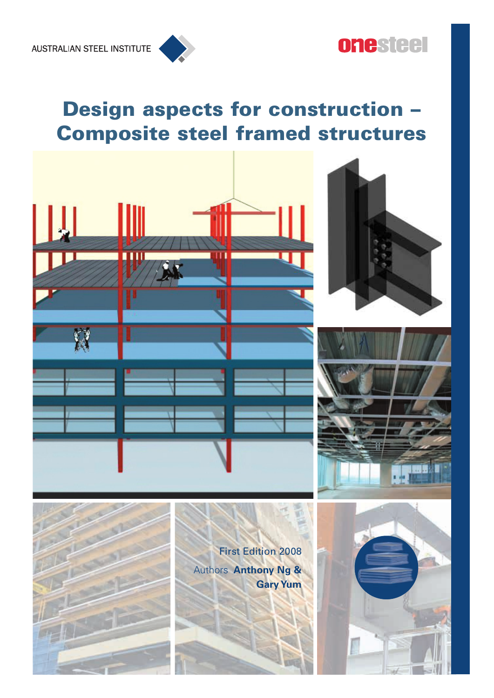

# **Design aspects for construction – Composite steel framed structures**